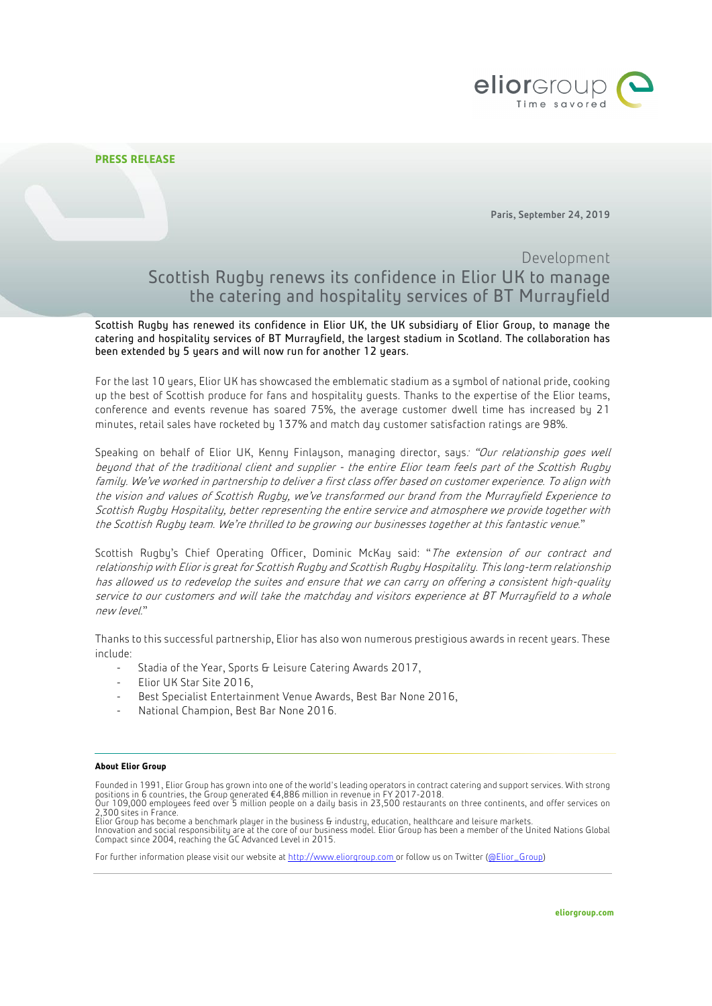

## **PRESS RELEASE**

Paris, September 24, 2019

## Development Scottish Rugby renews its confidence in Elior UK to manage the catering and hospitality services of BT Murrayfield

Scottish Rugby has renewed its confidence in Elior UK, the UK subsidiary of Elior Group, to manage the catering and hospitality services of BT Murrayfield, the largest stadium in Scotland. The collaboration has been extended by 5 years and will now run for another 12 years.

For the last 10 years, Elior UK has showcased the emblematic stadium as a symbol of national pride, cooking up the best of Scottish produce for fans and hospitality guests. Thanks to the expertise of the Elior teams, conference and events revenue has soared 75%, the average customer dwell time has increased by 21 minutes, retail sales have rocketed by 137% and match day customer satisfaction ratings are 98%.

Speaking on behalf of Elior UK, Kenny Finlayson, managing director, says: "Our relationship goes well beyond that of the traditional client and supplier - the entire Elior team feels part of the Scottish Rugby family. We've worked in partnership to deliver a first class offer based on customer experience. To align with the vision and values of Scottish Rugby, we've transformed our brand from the Murrayfield Experience to Scottish Rugby Hospitality, better representing the entire service and atmosphere we provide together with the Scottish Rugby team. We're thrilled to be growing our businesses together at this fantastic venue."

Scottish Rugby's Chief Operating Officer, Dominic McKay said: "The extension of our contract and relationship with Elior is great for Scottish Rugby and Scottish Rugby Hospitality. This long-term relationship has allowed us to redevelop the suites and ensure that we can carry on offering a consistent high-quality service to our customers and will take the matchday and visitors experience at BT Murrayfield to a whole new level."

Thanks to this successful partnership, Elior has also won numerous prestigious awards in recent years. These include:

- Stadia of the Year, Sports & Leisure Catering Awards 2017,
- Elior UK Star Site 2016,
- Best Specialist Entertainment Venue Awards, Best Bar None 2016,
- National Champion, Best Bar None 2016.

## **About Elior Group**

Founded in 1991, Elior Group has grown into one of the world's leading operators in contract catering and support services. With strong positions in 6 countries, the Group generated €4,886 million in revenue in FY 2017-2018.<br>Our 109,000 employees feed over 5 million people on a daily basis in 23,500 restaurants on three continents, and offer services on 2,300 sites in France.

Elior Group has become a benchmark player in the business & industry, education, healthcare and leisure markets. Innovation and social responsibility are at the core of our business model. Elior Group has been a member of the United Nations Global Compact since 2004, reaching the GC Advanced Level in 2015.

For further information please visit our website a[t http://www.eliorgroup.com](http://www.eliorgroup.com/) or follow us on Twitter [\(@Elior\\_Group\)](https://twitter.com/Elior_Group)